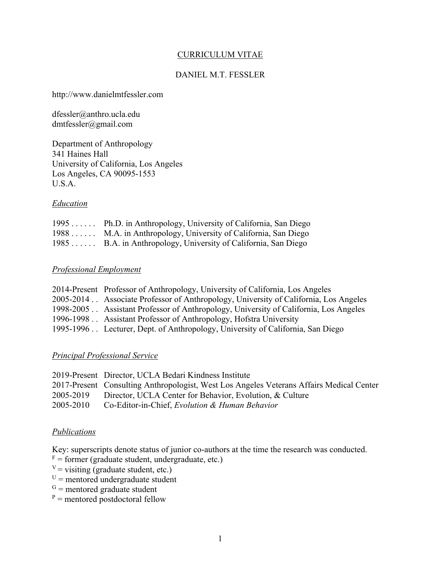## CURRICULUM VITAE

#### DANIEL M.T. FESSLER

http://www.danielmtfessler.com

dfessler@anthro.ucla.edu dmtfessler@gmail.com

Department of Anthropology 341 Haines Hall University of California, Los Angeles Los Angeles, CA 90095-1553 U.S.A.

#### *Education*

| 1995  Ph.D. in Anthropology, University of California, San Diego |
|------------------------------------------------------------------|
| 1988  M.A. in Anthropology, University of California, San Diego  |
| 1985  B.A. in Anthropology, University of California, San Diego  |

## *Professional Employment*

| 2014-Present Professor of Anthropology, University of California, Los Angeles          |
|----------------------------------------------------------------------------------------|
| 2005-2014 . Associate Professor of Anthropology, University of California, Los Angeles |
| 1998-2005. Assistant Professor of Anthropology, University of California, Los Angeles  |
| 1996-1998 . Assistant Professor of Anthropology, Hofstra University                    |
| 1995-1996 . Lecturer, Dept. of Anthropology, University of California, San Diego       |

# *Principal Professional Service*

|           | 2019-Present Director, UCLA Bedari Kindness Institute                                    |
|-----------|------------------------------------------------------------------------------------------|
|           | 2017-Present Consulting Anthropologist, West Los Angeles Veterans Affairs Medical Center |
| 2005-2019 | Director, UCLA Center for Behavior, Evolution, & Culture                                 |
| 2005-2010 | Co-Editor-in-Chief, Evolution & Human Behavior                                           |

#### *Publications*

Key: superscripts denote status of junior co-authors at the time the research was conducted.

 $F =$  former (graduate student, undergraduate, etc.)

- $V = \text{visiting (graduate student, etc.)}$
- $U =$  mentored undergraduate student
- $G =$  mentored graduate student
- $P =$  mentored postdoctoral fellow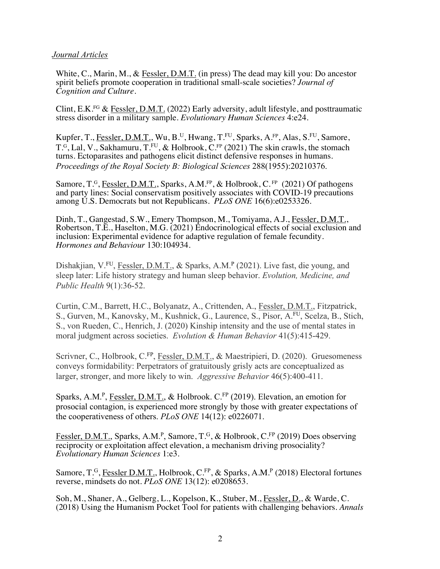### *Journal Articles*

White, C., Marin, M., & Fessler, D.M.T. (in press) The dead may kill you: Do ancestor spirit beliefs promote cooperation in traditional small-scale societies? *Journal of Cognition and Culture.*

Clint, E.K.<sup>FG</sup> & Fessler, D.M.T. (2022) Early adversity, adult lifestyle, and posttraumatic stress disorder in a military sample. *Evolutionary Human Sciences* 4:e24.

Kupfer, T., Fessler, D.M.T., Wu, B.<sup>U</sup>, Hwang, T.<sup>FU</sup>, Sparks, A.<sup>FP</sup>, Alas, S.<sup>FU</sup>, Samore, T.<sup>G</sup>, Lal, V., Sakhamuru, T.<sup>FU</sup>, & Holbrook, C.<sup>FP</sup> (2021) The skin crawls, the stomach turns. Ectoparasites and pathogens elicit distinct defensive responses in humans. *Proceedings of the Royal Society B: Biological Sciences* 288(1955):20210376.

Samore, T.<sup>G</sup>, Fessler, D.M.T., Sparks, A.M.<sup>FP</sup>, & Holbrook, C.<sup>FP</sup> (2021) Of pathogens and party lines: Social conservatism positively associates with COVID-19 precautions among U.S. Democrats but not Republicans. *PLoS ONE* 16(6):e0253326.

Dinh, T., Gangestad, S.W., Emery Thompson, M., Tomiyama, A.J., Fessler, D.M.T., Robertson, T.E., Haselton, M.G. (2021) Endocrinological effects of social exclusion and inclusion: Experimental evidence for adaptive regulation of female fecundity. *Hormones and Behaviour* 130:104934.

Dishakjian, V.FU, Fessler, D.M.T., & Sparks, A.M.P (2021). Live fast, die young, and sleep later: Life history strategy and human sleep behavior. *Evolution, Medicine, and Public Health* 9(1):36-52.

Curtin, C.M., Barrett, H.C., Bolyanatz, A., Crittenden, A., Fessler, D.M.T., Fitzpatrick, S., Gurven, M., Kanovsky, M., Kushnick, G., Laurence, S., Pisor, A.FU, Scelza, B., Stich, S., von Rueden, C., Henrich, J. (2020) Kinship intensity and the use of mental states in moral judgment across societies. *Evolution & Human Behavior* 41(5):415-429.

Scrivner, C., Holbrook, C.FP, Fessler, D.M.T., & Maestripieri, D. (2020). Gruesomeness conveys formidability: Perpetrators of gratuitously grisly acts are conceptualized as larger, stronger, and more likely to win. *Aggressive Behavior* 46(5):400-411.

Sparks, A.M.<sup>P</sup>, Fessler, D.M.T., & Holbrook. C.<sup>FP</sup> (2019). Elevation, an emotion for prosocial contagion, is experienced more strongly by those with greater expectations of the cooperativeness of others. *PLoS ONE* 14(12): e0226071.

Fessler, D.M.T., Sparks, A.M.<sup>P</sup>, Samore, T.<sup>G</sup>, & Holbrook, C.<sup>FP</sup> (2019) Does observing reciprocity or exploitation affect elevation, a mechanism driving prosociality? *Evolutionary Human Sciences* 1:e3.

Samore, T.<sup>G</sup>, Fessler D.M.T., Holbrook, C.<sup>FP</sup>, & Sparks, A.M.<sup>P</sup> (2018) Electoral fortunes reverse, mindsets do not. *PLoS ONE* 13(12): e0208653.

Soh, M., Shaner, A., Gelberg, L., Kopelson, K., Stuber, M., Fessler, D., & Warde, C. (2018) Using the Humanism Pocket Tool for patients with challenging behaviors. *Annals*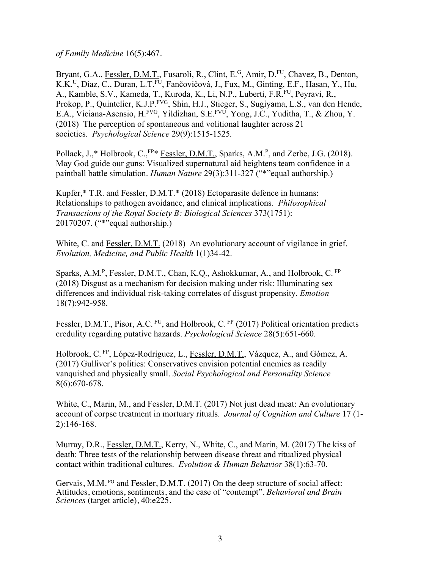*of Family Medicine* 16(5):467.

Bryant, G.A., Fessler, D.M.T., Fusaroli, R., Clint, E.<sup>G</sup>, Amir, D.<sup>FU</sup>, Chavez, B., Denton, K.K.U, Diaz, C., Duran, L.T.FU, Fančovičová, J., Fux, M., Ginting, E.F., Hasan, Y., Hu, A., Kamble, S.V., Kameda, T., Kuroda, K., Li, N.P., Luberti, F.R.FU, Peyravi, R., Prokop, P., Quintelier, K.J.P.FVG, Shin, H.J., Stieger, S., Sugiyama, L.S., van den Hende, E.A., Viciana-Asensio, H.FVG, Yildizhan, S.E.FVU, Yong, J.C., Yuditha, T., & Zhou, Y. (2018) The perception of spontaneous and volitional laughter across 21 societies. *Psychological Science* 29(9):1515-1525*.*

Pollack, J.,\* Holbrook, C.,<sup>FP\*</sup> Fessler, D.M.T., Sparks, A.M.<sup>P</sup>, and Zerbe, J.G. (2018). May God guide our guns: Visualized supernatural aid heightens team confidence in a paintball battle simulation. *Human Nature* 29(3):311-327 ("\*"equal authorship.)

Kupfer,\* T.R. and Fessler, D.M.T.\* (2018) Ectoparasite defence in humans: Relationships to pathogen avoidance, and clinical implications. *Philosophical Transactions of the Royal Society B: Biological Sciences* 373(1751): 20170207. ("\*"equal authorship.)

White, C. and Fessler, D.M.T. (2018) An evolutionary account of vigilance in grief. *Evolution, Medicine, and Public Health* 1(1)34-42.

Sparks, A.M.P, Fessler, D.M.T., Chan, K.Q., Ashokkumar, A., and Holbrook, C. FP (2018) Disgust as a mechanism for decision making under risk: Illuminating sex differences and individual risk-taking correlates of disgust propensity. *Emotion* 18(7):942-958.

Fessler, D.M.T., Pisor, A.C. <sup>FU</sup>, and Holbrook, C. <sup>FP</sup> (2017) Political orientation predicts credulity regarding putative hazards. *Psychological Science* 28(5):651-660.

Holbrook, C. FP, López-Rodríguez, L., Fessler, D.M.T., Vázquez, A., and Gómez, A. (2017) Gulliver's politics: Conservatives envision potential enemies as readily vanquished and physically small. *Social Psychological and Personality Science* 8(6):670-678.

White, C., Marin, M., and Fessler, D.M.T. (2017) Not just dead meat: An evolutionary account of corpse treatment in mortuary rituals. *Journal of Cognition and Culture* 17 (1- 2):146-168.

Murray, D.R., Fessler, D.M.T., Kerry, N., White, C., and Marin, M. (2017) The kiss of death: Three tests of the relationship between disease threat and ritualized physical contact within traditional cultures. *Evolution & Human Behavior* 38(1):63-70.

Gervais, M.M. <sup>FG</sup> and Fessler, D.M.T. (2017) On the deep structure of social affect: Attitudes, emotions, sentiments, and the case of "contempt". *Behavioral and Brain Sciences* (target article), 40:e225.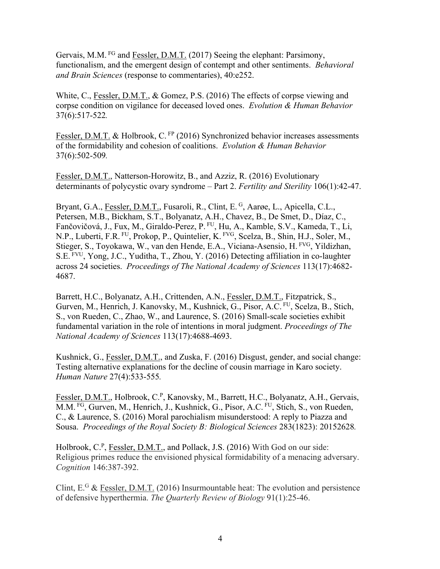Gervais, M.M. <sup>FG</sup> and <u>Fessler, D.M.T.</u> (2017) Seeing the elephant: Parsimony, functionalism, and the emergent design of contempt and other sentiments. *Behavioral and Brain Sciences* (response to commentaries), 40:e252.

White, C., Fessler, D.M.T., & Gomez, P.S. (2016) The effects of corpse viewing and corpse condition on vigilance for deceased loved ones. *Evolution & Human Behavior* 37(6):517-522*.*

Fessler, D.M.T. & Holbrook, C.<sup>FP</sup> (2016) Synchronized behavior increases assessments of the formidability and cohesion of coalitions. *Evolution & Human Behavior* 37(6):502-509*.*

Fessler, D.M.T., Natterson-Horowitz, B., and Azziz, R. (2016) Evolutionary determinants of polycystic ovary syndrome – Part 2. *Fertility and Sterility* 106(1):42-47.

Bryant, G.A., Fessler, D.M.T., Fusaroli, R., Clint, E.<sup>G</sup>, Aarøe, L., Apicella, C.L., Petersen, M.B., Bickham, S.T., Bolyanatz, A.H., Chavez, B., De Smet, D., Díaz, C., Fančovičová, J., Fux, M., Giraldo-Perez, P. FU, Hu, A., Kamble, S.V., Kameda, T., Li, N.P., Luberti, F.R. FU, Prokop, P., Quintelier, K. FVG, Scelza, B., Shin, H.J., Soler, M., Stieger, S., Toyokawa, W., van den Hende, E.A., Viciana-Asensio, H. FVG, Yildizhan, S.E. FVU, Yong, J.C., Yuditha, T., Zhou, Y. (2016) Detecting affiliation in co-laughter across 24 societies. *Proceedings of The National Academy of Sciences* 113(17):4682- 4687.

Barrett, H.C., Bolyanatz, A.H., Crittenden, A.N., Fessler, D.M.T., Fitzpatrick, S., Gurven, M., Henrich, J. Kanovsky, M., Kushnick, G., Pisor, A.C. FU, Scelza, B., Stich, S., von Rueden, C., Zhao, W., and Laurence, S. (2016) Small-scale societies exhibit fundamental variation in the role of intentions in moral judgment. *Proceedings of The National Academy of Sciences* 113(17):4688-4693.

Kushnick, G., Fessler, D.M.T., and Zuska, F. (2016) Disgust, gender, and social change: Testing alternative explanations for the decline of cousin marriage in Karo society. *Human Nature* 27(4):533-555*.*

Fessler, D.M.T., Holbrook, C.<sup>P</sup>, Kanovsky, M., Barrett, H.C., Bolyanatz, A.H., Gervais, M.M. FG, Gurven, M., Henrich, J., Kushnick, G., Pisor, A.C. FU, Stich, S., von Rueden, C., & Laurence, S. (2016) Moral parochialism misunderstood: A reply to Piazza and Sousa. *Proceedings of the Royal Society B: Biological Sciences* 283(1823): 20152628*.*

Holbrook, C.<sup>P</sup>, Fessler, D.M.T., and Pollack, J.S. (2016) With God on our side: Religious primes reduce the envisioned physical formidability of a menacing adversary. *Cognition* 146:387-392.

Clint,  $E^G$  & Fessler, D.M.T. (2016) Insurmountable heat: The evolution and persistence of defensive hyperthermia. *The Quarterly Review of Biology* 91(1):25-46.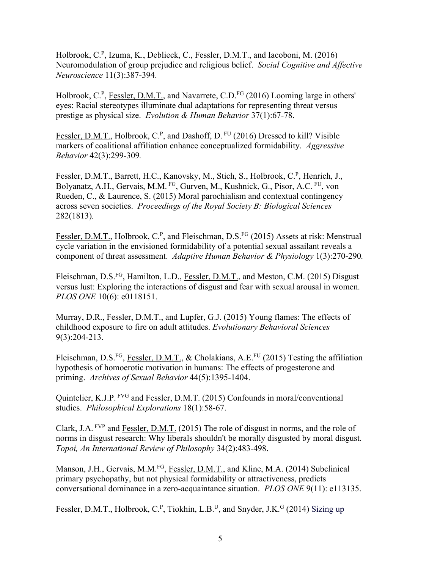Holbrook, C.P, Izuma, K., Deblieck, C., Fessler, D.M.T., and Iacoboni, M. (2016) Neuromodulation of group prejudice and religious belief. *Social Cognitive and Affective Neuroscience* 11(3):387-394.

Holbrook, C.<sup>P</sup>, Fessler, D.M.T., and Navarrete, C.D.<sup>FG</sup> (2016) Looming large in others' eyes: Racial stereotypes illuminate dual adaptations for representing threat versus prestige as physical size. *Evolution & Human Behavior* 37(1):67-78.

Fessler, D.M.T., Holbrook, C.<sup>P</sup>, and Dashoff, D.<sup>FU</sup> (2016) Dressed to kill? Visible markers of coalitional affiliation enhance conceptualized formidability. *Aggressive Behavior* 42(3):299-309*.*

Fessler, D.M.T., Barrett, H.C., Kanovsky, M., Stich, S., Holbrook, C.P, Henrich, J., Bolyanatz, A.H., Gervais, M.M. FG, Gurven, M., Kushnick, G., Pisor, A.C. FU, von Rueden, C., & Laurence, S. (2015) Moral parochialism and contextual contingency across seven societies. *Proceedings of the Royal Society B: Biological Sciences* 282(1813)*.*

Fessler, D.M.T., Holbrook, C.<sup>P</sup>, and Fleischman, D.S.<sup>FG</sup> (2015) Assets at risk: Menstrual cycle variation in the envisioned formidability of a potential sexual assailant reveals a component of threat assessment. *Adaptive Human Behavior & Physiology* 1(3):270-290*.*

Fleischman, D.S.FG, Hamilton, L.D., Fessler, D.M.T., and Meston, C.M. (2015) Disgust versus lust: Exploring the interactions of disgust and fear with sexual arousal in women. *PLOS ONE* 10(6): e0118151.

Murray, D.R., Fessler, D.M.T., and Lupfer, G.J. (2015) Young flames: The effects of childhood exposure to fire on adult attitudes. *Evolutionary Behavioral Sciences* 9(3):204-213.

Fleischman, D.S.FG, Fessler, D.M.T., & Cholakians, A.E.FU (2015) Testing the affiliation hypothesis of homoerotic motivation in humans: The effects of progesterone and priming. *Archives of Sexual Behavior* 44(5):1395-1404.

Quintelier, K.J.P. FVG and Fessler, D.M.T. (2015) Confounds in moral/conventional studies. *Philosophical Explorations* 18(1):58-67.

Clark, J.A. FVP and Fessler, D.M.T. (2015) The role of disgust in norms, and the role of norms in disgust research: Why liberals shouldn't be morally disgusted by moral disgust. *Topoi, An International Review of Philosophy* 34(2):483-498.

Manson, J.H., Gervais, M.M.<sup>FG</sup>, Fessler, D.M.T., and Kline, M.A. (2014) Subclinical primary psychopathy, but not physical formidability or attractiveness, predicts conversational dominance in a zero-acquaintance situation. *PLOS ONE* 9(11): e113135.

Fessler, D.M.T., Holbrook, C.<sup>P</sup>, Tiokhin, L.B.<sup>U</sup>, and Snyder, J.K.<sup>G</sup> (2014) Sizing up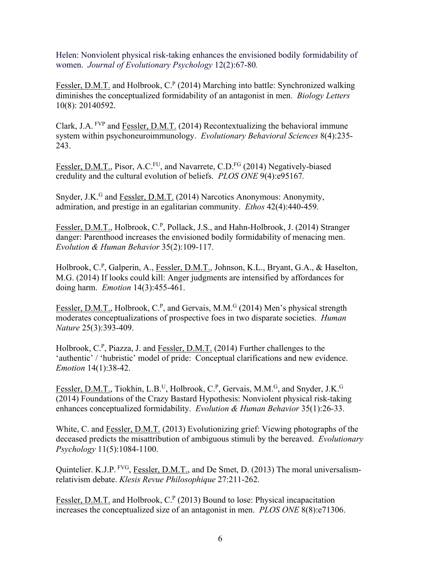Helen: Nonviolent physical risk-taking enhances the envisioned bodily formidability of women. *Journal of Evolutionary Psychology* 12(2):67-80*.*

Fessler, D.M.T. and Holbrook, C.<sup>P</sup> (2014) Marching into battle: Synchronized walking diminishes the conceptualized formidability of an antagonist in men. *Biology Letters*  10(8): 20140592.

Clark, J.A. FVP and Fessler, D.M.T. (2014) Recontextualizing the behavioral immune system within psychoneuroimmunology. *Evolutionary Behavioral Sciences* 8(4):235- 243.

Fessler, D.M.T., Pisor, A.C.FU, and Navarrete, C.D.FG (2014) Negatively-biased credulity and the cultural evolution of beliefs. *PLOS ONE* 9(4):e95167*.*

Snyder, J.K.<sup>G</sup> and Fessler, D.M.T. (2014) Narcotics Anonymous: Anonymity, admiration, and prestige in an egalitarian community. *Ethos* 42(4):440-459.

Fessler, D.M.T., Holbrook, C.<sup>P</sup>, Pollack, J.S., and Hahn-Holbrook, J. (2014) Stranger danger: Parenthood increases the envisioned bodily formidability of menacing men. *Evolution & Human Behavior* 35(2):109-117.

Holbrook, C.<sup>P</sup>, Galperin, A., Fessler, D.M.T., Johnson, K.L., Bryant, G.A., & Haselton, M.G. (2014) If looks could kill: Anger judgments are intensified by affordances for doing harm. *Emotion* 14(3):455-461.

Fessler, D.M.T., Holbrook, C.<sup>P</sup>, and Gervais, M.M.<sup>G</sup> (2014) Men's physical strength moderates conceptualizations of prospective foes in two disparate societies. *Human Nature* 25(3):393-409.

Holbrook, C.P, Piazza, J. and Fessler, D.M.T. (2014) Further challenges to the 'authentic' / 'hubristic' model of pride: Conceptual clarifications and new evidence. *Emotion* 14(1):38-42.

Fessler, D.M.T., Tiokhin, L.B.<sup>U</sup>, Holbrook, C.<sup>P</sup>, Gervais, M.M.<sup>G</sup>, and Snyder, J.K.<sup>G</sup> (2014) Foundations of the Crazy Bastard Hypothesis: Nonviolent physical risk-taking enhances conceptualized formidability. *Evolution & Human Behavior* 35(1):26-33.

White, C. and Fessler, D.M.T. (2013) Evolutionizing grief: Viewing photographs of the deceased predicts the misattribution of ambiguous stimuli by the bereaved. *Evolutionary Psychology* 11(5):1084-1100.

Quintelier. K.J.P. <sup>FVG</sup>, Fessler, D.M.T., and De Smet, D. (2013) The moral universalismrelativism debate. *Klesis Revue Philosophique* 27:211-262.

Fessler, D.M.T. and Holbrook,  $C<sup>P</sup>$  (2013) Bound to lose: Physical incapacitation increases the conceptualized size of an antagonist in men. *PLOS ONE* 8(8):e71306.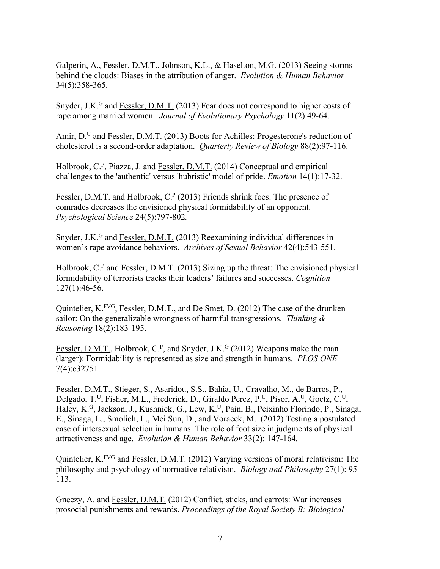Galperin, A., Fessler, D.M.T., Johnson, K.L., & Haselton, M.G. (2013) Seeing storms behind the clouds: Biases in the attribution of anger. *Evolution & Human Behavior* 34(5):358-365.

Snyder, J.K.<sup>G</sup> and Fessler, D.M.T. (2013) Fear does not correspond to higher costs of rape among married women. *Journal of Evolutionary Psychology* 11(2):49-64.

Amir, D.<sup>U</sup> and Fessler, D.M.T. (2013) Boots for Achilles: Progesterone's reduction of cholesterol is a second-order adaptation. *Quarterly Review of Biology* 88(2):97-116.

Holbrook, C.P, Piazza, J. and Fessler, D.M.T. (2014) Conceptual and empirical challenges to the 'authentic' versus 'hubristic' model of pride. *Emotion* 14(1):17-32.

Fessler, D.M.T. and Holbrook, C.<sup>P</sup> (2013) Friends shrink foes: The presence of comrades decreases the envisioned physical formidability of an opponent. *Psychological Science* 24(5):797-802*.*

Snyder, J.K.G and Fessler, D.M.T. (2013) Reexamining individual differences in women's rape avoidance behaviors. *Archives of Sexual Behavior* 42(4):543-551.

Holbrook,  $C^P$  and Fessler, D.M.T. (2013) Sizing up the threat: The envisioned physical formidability of terrorists tracks their leaders' failures and successes. *Cognition* 127(1):46-56.

Quintelier, K.FVG, Fessler, D.M.T., and De Smet, D. (2012) The case of the drunken sailor: On the generalizable wrongness of harmful transgressions. *Thinking & Reasoning* 18(2):183-195.

Fessler, D.M.T., Holbrook, C.<sup>P</sup>, and Snyder, J.K.<sup>G</sup> (2012) Weapons make the man (larger): Formidability is represented as size and strength in humans. *PLOS ONE* 7(4):e32751.

Fessler, D.M.T., Stieger, S., Asaridou, S.S., Bahia, U., Cravalho, M., de Barros, P., Delgado, T.U, Fisher, M.L., Frederick, D., Giraldo Perez, P.U, Pisor, A.U, Goetz, C.U, Haley, K.<sup>G</sup>, Jackson, J., Kushnick, G., Lew, K.<sup>U</sup>, Pain, B., Peixinho Florindo, P., Sinaga, E., Sinaga, L., Smolich, L., Mei Sun, D., and Voracek, M. (2012) Testing a postulated case of intersexual selection in humans: The role of foot size in judgments of physical attractiveness and age. *Evolution & Human Behavior* 33(2): 147-164*.* 

Quintelier, K.FVG and Fessler, D.M.T. (2012) Varying versions of moral relativism: The philosophy and psychology of normative relativism. *Biology and Philosophy* 27(1): 95- 113.

Gneezy, A. and Fessler, D.M.T. (2012) Conflict, sticks, and carrots: War increases prosocial punishments and rewards. *Proceedings of the Royal Society B: Biological*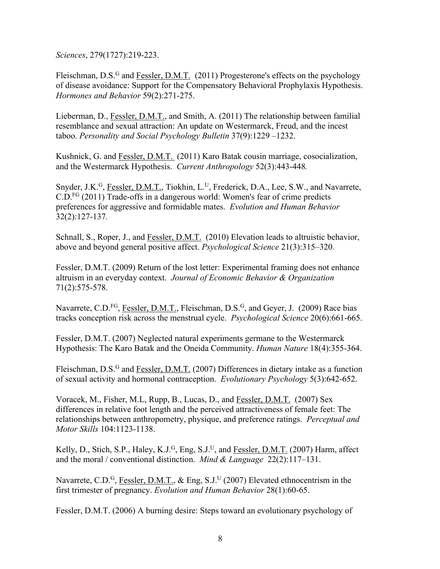*Sciences*, 279(1727):219-223.

Fleischman, D.S.<sup>G</sup> and Fessler, D.M.T. (2011) Progesterone's effects on the psychology of disease avoidance: Support for the Compensatory Behavioral Prophylaxis Hypothesis. *Hormones and Behavior* 59(2):271-275.

Lieberman, D., Fessler, D.M.T., and Smith, A. (2011) The relationship between familial resemblance and sexual attraction: An update on Westermarck, Freud, and the incest taboo. *Personality and Social Psychology Bulletin* 37(9):1229 –1232.

Kushnick, G. and Fessler, D.M.T. (2011) Karo Batak cousin marriage, cosocialization, and the Westermarck Hypothesis. *Current Anthropology* 52(3):443-448*.*

Snyder, J.K.<sup>G</sup>, Fessler, D.M.T., Tiokhin, L.<sup>U</sup>, Frederick, D.A., Lee, S.W., and Navarrete, C.D.FG (2011) Trade-offs in a dangerous world: Women's fear of crime predicts preferences for aggressive and formidable mates. *Evolution and Human Behavior* 32(2):127-137*.*

Schnall, S., Roper, J., and Fessler, D.M.T. (2010) Elevation leads to altruistic behavior, above and beyond general positive affect. *Psychological Science* 21(3):315–320*.*

Fessler, D.M.T. (2009) Return of the lost letter: Experimental framing does not enhance altruism in an everyday context. *Journal of Economic Behavior & Organization* 71(2):575-578.

Navarrete, C.D.<sup>FG</sup>, Fessler, D.M.T., Fleischman, D.S.<sup>G</sup>, and Geyer, J. (2009) Race bias tracks conception risk across the menstrual cycle. *Psychological Science* 20(6):661-665.

Fessler, D.M.T. (2007) Neglected natural experiments germane to the Westermarck Hypothesis: The Karo Batak and the Oneida Community. *Human Nature* 18(4):355-364.

Fleischman, D.S.<sup>G</sup> and Fessler, D.M.T. (2007) Differences in dietary intake as a function of sexual activity and hormonal contraception. *Evolutionary Psychology* 5(3):642-652.

Voracek, M., Fisher, M.L, Rupp, B., Lucas, D., and Fessler, D.M.T. (2007) Sex differences in relative foot length and the perceived attractiveness of female feet: The relationships between anthropometry, physique, and preference ratings. *Perceptual and Motor Skills* 104:1123-1138.

Kelly, D., Stich, S.P., Haley, K.J.<sup>G</sup>, Eng, S.J.<sup>U</sup>, and Fessler, D.M.T. (2007) Harm, affect and the moral / conventional distinction. *Mind & Language* 22(2):117–131.

Navarrete, C.D.<sup>G</sup>, Fessler, D.M.T., & Eng, S.J.<sup>U</sup> (2007) Elevated ethnocentrism in the first trimester of pregnancy. *Evolution and Human Behavior* 28(1):60-65.

Fessler, D.M.T. (2006) A burning desire: Steps toward an evolutionary psychology of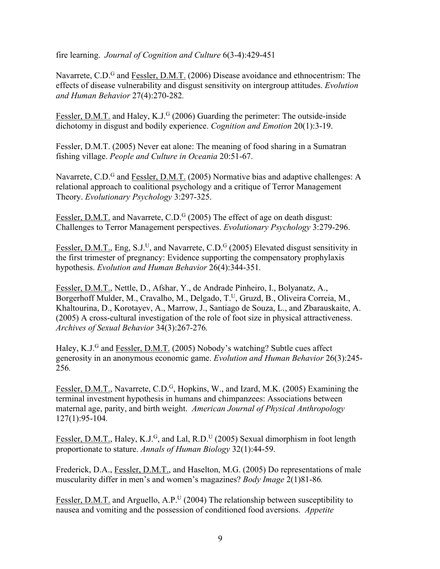fire learning. *Journal of Cognition and Culture* 6(3-4):429-451

Navarrete, C.D.<sup>G</sup> and Fessler, D.M.T. (2006) Disease avoidance and ethnocentrism: The effects of disease vulnerability and disgust sensitivity on intergroup attitudes. *Evolution and Human Behavior* 27(4):270-282*.*

Fessler, D.M.T. and Haley, K.J.<sup>G</sup> (2006) Guarding the perimeter: The outside-inside dichotomy in disgust and bodily experience. *Cognition and Emotion* 20(1):3-19.

Fessler, D.M.T. (2005) Never eat alone: The meaning of food sharing in a Sumatran fishing village. *People and Culture in Oceania* 20:51-67.

Navarrete, C.D.<sup>G</sup> and Fessler, D.M.T. (2005) Normative bias and adaptive challenges: A relational approach to coalitional psychology and a critique of Terror Management Theory. *Evolutionary Psychology* 3:297-325.

Fessler, D.M.T. and Navarrete, C.D.<sup>G</sup> (2005) The effect of age on death disgust: Challenges to Terror Management perspectives. *Evolutionary Psychology* 3:279-296.

Fessler, D.M.T., Eng, S.J.<sup>U</sup>, and Navarrete, C.D.<sup>G</sup> (2005) Elevated disgust sensitivity in the first trimester of pregnancy: Evidence supporting the compensatory prophylaxis hypothesis. *Evolution and Human Behavior* 26(4):344-351*.*

Fessler, D.M.T., Nettle, D., Afshar, Y., de Andrade Pinheiro, I., Bolyanatz, A., Borgerhoff Mulder, M., Cravalho, M., Delgado, T.<sup>U</sup>, Gruzd, B., Oliveira Correia, M., Khaltourina, D., Korotayev, A., Marrow, J., Santiago de Souza, L., and Zbarauskaite, A. (2005) A cross-cultural investigation of the role of foot size in physical attractiveness. *Archives of Sexual Behavior* 34(3):267-276*.*

Haley, K.J.<sup>G</sup> and Fessler, D.M.T. (2005) Nobody's watching? Subtle cues affect generosity in an anonymous economic game. *Evolution and Human Behavior* 26(3):245- 256*.*

Fessler, D.M.T., Navarrete, C.D.<sup>G</sup>, Hopkins, W., and Izard, M.K. (2005) Examining the terminal investment hypothesis in humans and chimpanzees: Associations between maternal age, parity, and birth weight. *American Journal of Physical Anthropology* 127(1):95-104*.*

Fessler, D.M.T., Haley, K.J.<sup>G</sup>, and Lal, R.D.<sup>U</sup> (2005) Sexual dimorphism in foot length proportionate to stature. *Annals of Human Biology* 32(1):44-59.

Frederick, D.A., Fessler, D.M.T., and Haselton, M.G. (2005) Do representations of male muscularity differ in men's and women's magazines? *Body Image* 2(1)81-86*.*

Fessler, D.M.T. and Arguello,  $A.P.<sup>U</sup>$  (2004) The relationship between susceptibility to nausea and vomiting and the possession of conditioned food aversions. *Appetite*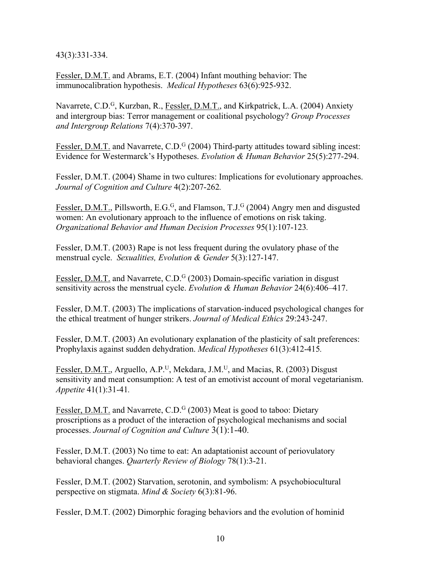43(3):331-334.

Fessler, D.M.T. and Abrams, E.T. (2004) Infant mouthing behavior: The immunocalibration hypothesis. *Medical Hypotheses* 63(6):925-932.

Navarrete, C.D.<sup>G</sup>, Kurzban, R., Fessler, D.M.T., and Kirkpatrick, L.A. (2004) Anxiety and intergroup bias: Terror management or coalitional psychology? *Group Processes and Intergroup Relations* 7(4):370-397.

Fessler, D.M.T. and Navarrete, C.D.<sup>G</sup> (2004) Third-party attitudes toward sibling incest: Evidence for Westermarck's Hypotheses. *Evolution & Human Behavior* 25(5):277-294.

Fessler, D.M.T. (2004) Shame in two cultures: Implications for evolutionary approaches. *Journal of Cognition and Culture* 4(2):207-262*.*

Fessler, D.M.T., Pillsworth, E.G.<sup>G</sup>, and Flamson, T.J.<sup>G</sup> (2004) Angry men and disgusted women: An evolutionary approach to the influence of emotions on risk taking. *Organizational Behavior and Human Decision Processes* 95(1):107-123*.*

Fessler, D.M.T. (2003) Rape is not less frequent during the ovulatory phase of the menstrual cycle. *Sexualities, Evolution & Gender* 5(3):127-147.

Fessler, D.M.T. and Navarrete, C.D.<sup>G</sup> (2003) Domain-specific variation in disgust sensitivity across the menstrual cycle. *Evolution & Human Behavior* 24(6):406–417.

Fessler, D.M.T. (2003) The implications of starvation-induced psychological changes for the ethical treatment of hunger strikers. *Journal of Medical Ethics* 29:243-247.

Fessler, D.M.T. (2003) An evolutionary explanation of the plasticity of salt preferences: Prophylaxis against sudden dehydration. *Medical Hypotheses* 61(3):412-415*.*

Fessler, D.M.T., Arguello, A.P.<sup>U</sup>, Mekdara, J.M.<sup>U</sup>, and Macias, R. (2003) Disgust sensitivity and meat consumption: A test of an emotivist account of moral vegetarianism. *Appetite* 41(1):31-41*.*

Fessler, D.M.T. and Navarrete, C.D.<sup>G</sup> (2003) Meat is good to taboo: Dietary proscriptions as a product of the interaction of psychological mechanisms and social processes. *Journal of Cognition and Culture* 3(1):1-40.

Fessler, D.M.T. (2003) No time to eat: An adaptationist account of periovulatory behavioral changes. *Quarterly Review of Biology* 78(1):3-21.

Fessler, D.M.T. (2002) Starvation, serotonin, and symbolism: A psychobiocultural perspective on stigmata. *Mind & Society* 6(3):81-96.

Fessler, D.M.T. (2002) Dimorphic foraging behaviors and the evolution of hominid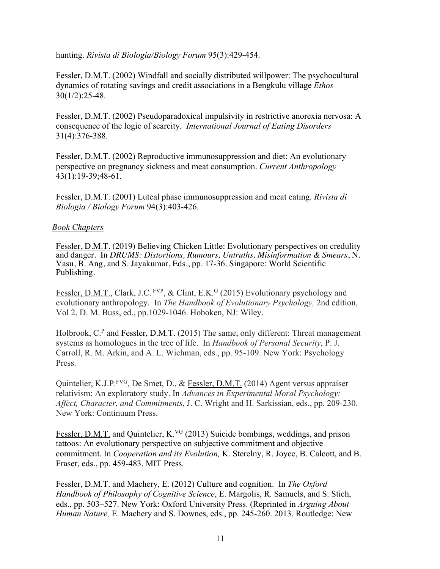hunting. *Rivista di Biologia/Biology Forum* 95(3):429-454.

Fessler, D.M.T. (2002) Windfall and socially distributed willpower: The psychocultural dynamics of rotating savings and credit associations in a Bengkulu village *Ethos*  30(1/2):25-48.

Fessler, D.M.T. (2002) Pseudoparadoxical impulsivity in restrictive anorexia nervosa: A consequence of the logic of scarcity. *International Journal of Eating Disorders* 31(4):376-388.

Fessler, D.M.T. (2002) Reproductive immunosuppression and diet: An evolutionary perspective on pregnancy sickness and meat consumption. *Current Anthropology* 43(1):19-39;48-61.

Fessler, D.M.T. (2001) Luteal phase immunosuppression and meat eating. *Rivista di Biologia / Biology Forum* 94(3):403-426.

### *Book Chapters*

Fessler, D.M.T. (2019) Believing Chicken Little: Evolutionary perspectives on credulity and danger. In *DRUMS: Distortions, Rumours, Untruths, Misinformation & Smears*, N. Vasu, B. Ang, and S. Jayakumar, Eds., pp. 17-36. Singapore: World Scientific Publishing.

Fessler, D.M.T., Clark, J.C. <sup>FVP</sup>, & Clint, E.K.<sup>G</sup> (2015) Evolutionary psychology and evolutionary anthropology. In *The Handbook of Evolutionary Psychology,* 2nd edition, Vol 2, D. M. Buss, ed., pp.1029-1046. Hoboken, NJ: Wiley.

Holbrook,  $C_{\rm A}^{\rm P}$  and Fessler, D.M.T. (2015) The same, only different: Threat management systems as homologues in the tree of life. In *Handbook of Personal Security*, P. J. Carroll, R. M. Arkin, and A. L. Wichman, eds., pp. 95-109. New York: Psychology Press.

Quintelier, K.J.P.FVG, De Smet, D., & Fessler, D.M.T. (2014) Agent versus appraiser relativism: An exploratory study. In *Advances in Experimental Moral Psychology: Affect, Character, and Commitments*, J. C. Wright and H. Sarkissian, eds., pp. 209-230. New York: Continuum Press.

Fessler, D.M.T. and Quintelier, K.<sup>VG</sup> (2013) Suicide bombings, weddings, and prison tattoos: An evolutionary perspective on subjective commitment and objective commitment. In *Cooperation and its Evolution,* K. Sterelny, R. Joyce, B. Calcott, and B. Fraser, eds., pp. 459-483. MIT Press.

Fessler, D.M.T. and Machery, E. (2012) Culture and cognition. In *The Oxford Handbook of Philosophy of Cognitive Science*, E. Margolis, R. Samuels, and S. Stich, eds., pp. 503–527. New York: Oxford University Press. (Reprinted in *Arguing About Human Nature,* E. Machery and S. Downes, eds., pp. 245-260. 2013. Routledge: New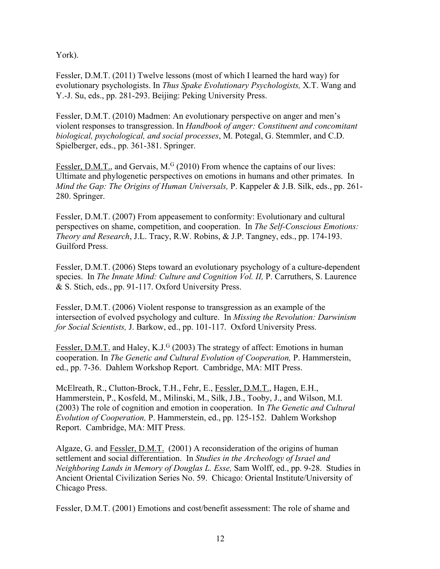York).

Fessler, D.M.T. (2011) Twelve lessons (most of which I learned the hard way) for evolutionary psychologists. In *Thus Spake Evolutionary Psychologists,* X.T. Wang and Y.-J. Su, eds., pp. 281-293. Beijing: Peking University Press.

Fessler, D.M.T. (2010) Madmen: An evolutionary perspective on anger and men's violent responses to transgression. In *Handbook of anger: Constituent and concomitant biological, psychological, and social processes*, M. Potegal, G. Stemmler, and C.D. Spielberger, eds., pp. 361-381. Springer.

Fessler, D.M.T., and Gervais, M.<sup>G</sup> (2010) From whence the captains of our lives: Ultimate and phylogenetic perspectives on emotions in humans and other primates. In *Mind the Gap: The Origins of Human Universals,* P. Kappeler & J.B. Silk, eds., pp. 261- 280. Springer.

Fessler, D.M.T. (2007) From appeasement to conformity: Evolutionary and cultural perspectives on shame, competition, and cooperation. In *The Self-Conscious Emotions: Theory and Research*, J.L. Tracy, R.W. Robins, & J.P. Tangney, eds., pp. 174-193. Guilford Press.

Fessler, D.M.T. (2006) Steps toward an evolutionary psychology of a culture-dependent species. In *The Innate Mind: Culture and Cognition Vol. II*, P. Carruthers, S. Laurence & S. Stich, eds., pp. 91-117. Oxford University Press.

Fessler, D.M.T. (2006) Violent response to transgression as an example of the intersection of evolved psychology and culture. In *Missing the Revolution: Darwinism for Social Scientists,* J. Barkow, ed., pp. 101-117. Oxford University Press.

Fessler, D.M.T. and Haley, K.J.<sup>G</sup> (2003) The strategy of affect: Emotions in human cooperation. In *The Genetic and Cultural Evolution of Cooperation,* P. Hammerstein, ed., pp. 7-36. Dahlem Workshop Report. Cambridge, MA: MIT Press.

McElreath, R., Clutton-Brock, T.H., Fehr, E., Fessler, D.M.T., Hagen, E.H., Hammerstein, P., Kosfeld, M., Milinski, M., Silk, J.B., Tooby, J., and Wilson, M.I. (2003) The role of cognition and emotion in cooperation. In *The Genetic and Cultural Evolution of Cooperation,* P. Hammerstein, ed., pp. 125-152. Dahlem Workshop Report. Cambridge, MA: MIT Press.

Algaze, G. and Fessler, D.M.T. (2001) A reconsideration of the origins of human settlement and social differentiation. In *Studies in the Archeology of Israel and Neighboring Lands in Memory of Douglas L. Esse,* Sam Wolff, ed., pp. 9-28. Studies in Ancient Oriental Civilization Series No. 59. Chicago: Oriental Institute/University of Chicago Press.

Fessler, D.M.T. (2001) Emotions and cost/benefit assessment: The role of shame and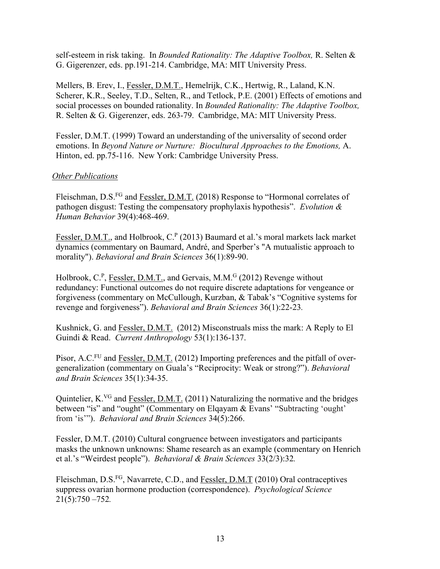self-esteem in risk taking. In *Bounded Rationality: The Adaptive Toolbox,* R. Selten & G. Gigerenzer, eds. pp.191-214. Cambridge, MA: MIT University Press.

Mellers, B. Erev, I., Fessler, D.M.T., Hemelrijk, C.K., Hertwig, R., Laland, K.N. Scherer, K.R., Seeley, T.D., Selten, R., and Tetlock, P.E. (2001) Effects of emotions and social processes on bounded rationality. In *Bounded Rationality: The Adaptive Toolbox,*  R. Selten & G. Gigerenzer, eds. 263-79. Cambridge, MA: MIT University Press.

Fessler, D.M.T. (1999) Toward an understanding of the universality of second order emotions. In *Beyond Nature or Nurture: Biocultural Approaches to the Emotions,* A. Hinton, ed. pp.75-116. New York: Cambridge University Press.

## *Other Publications*

Fleischman, D.S.FG and Fessler, D.M.T. (2018) Response to "Hormonal correlates of pathogen disgust: Testing the compensatory prophylaxis hypothesis". *Evolution & Human Behavior* 39(4):468-469.

Fessler, D.M.T., and Holbrook, C.<sup>P</sup> (2013) Baumard et al.'s moral markets lack market dynamics (commentary on Baumard, André, and Sperber's "A mutualistic approach to morality"). *Behavioral and Brain Sciences* 36(1):89-90.

Holbrook,  $C^P$ , Fessler, D.M.T., and Gervais, M.M.<sup>G</sup> (2012) Revenge without redundancy: Functional outcomes do not require discrete adaptations for vengeance or forgiveness (commentary on McCullough, Kurzban, & Tabak's "Cognitive systems for revenge and forgiveness"). *Behavioral and Brain Sciences* 36(1):22-23*.*

Kushnick, G. and Fessler, D.M.T. (2012) Misconstruals miss the mark: A Reply to El Guindi & Read. *Current Anthropology* 53(1):136-137.

Pisor, A.C.<sup>FU</sup> and Fessler, D.M.T. (2012) Importing preferences and the pitfall of overgeneralization (commentary on Guala's "Reciprocity: Weak or strong?"). *Behavioral and Brain Sciences* 35(1):34-35.

Quintelier, K.<sup>VG</sup> and Fessler, D.M.T. (2011) Naturalizing the normative and the bridges between "is" and "ought" (Commentary on Elqayam & Evans' "Subtracting 'ought' from 'is'"). *Behavioral and Brain Sciences* 34(5):266.

Fessler, D.M.T. (2010) Cultural congruence between investigators and participants masks the unknown unknowns: Shame research as an example (commentary on Henrich et al.'s "Weirdest people"). *Behavioral & Brain Sciences* 33(2/3):32*.*

Fleischman, D.S.<sup>FG</sup>, Navarrete, C.D., and Fessler, D.M.T (2010) Oral contraceptives suppress ovarian hormone production (correspondence). *Psychological Science*  21(5):750 –752*.*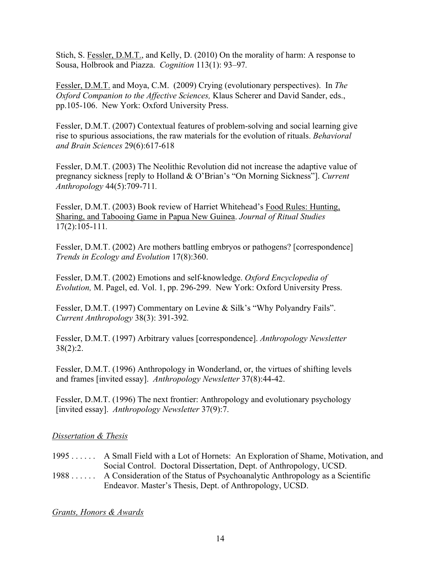Stich, S. Fessler, D.M.T., and Kelly, D. (2010) On the morality of harm: A response to Sousa, Holbrook and Piazza. *Cognition* 113(1): 93–97*.*

Fessler, D.M.T. and Moya, C.M. (2009) Crying (evolutionary perspectives). In *The Oxford Companion to the Affective Sciences,* Klaus Scherer and David Sander, eds., pp.105-106. New York: Oxford University Press.

Fessler, D.M.T. (2007) Contextual features of problem-solving and social learning give rise to spurious associations, the raw materials for the evolution of rituals. *Behavioral and Brain Sciences* 29(6):617-618

Fessler, D.M.T. (2003) The Neolithic Revolution did not increase the adaptive value of pregnancy sickness [reply to Holland & O'Brian's "On Morning Sickness"]. *Current Anthropology* 44(5):709-711*.*

Fessler, D.M.T. (2003) Book review of Harriet Whitehead's Food Rules: Hunting, Sharing, and Tabooing Game in Papua New Guinea. *Journal of Ritual Studies* 17(2):105-111*.*

Fessler, D.M.T. (2002) Are mothers battling embryos or pathogens? [correspondence] *Trends in Ecology and Evolution* 17(8):360.

Fessler, D.M.T. (2002) Emotions and self-knowledge. *Oxford Encyclopedia of Evolution,* M. Pagel, ed. Vol. 1, pp. 296-299. New York: Oxford University Press.

Fessler, D.M.T. (1997) Commentary on Levine & Silk's "Why Polyandry Fails". *Current Anthropology* 38(3): 391-392*.*

Fessler, D.M.T. (1997) Arbitrary values [correspondence]. *Anthropology Newsletter* 38(2):2.

Fessler, D.M.T. (1996) Anthropology in Wonderland, or, the virtues of shifting levels and frames [invited essay]. *Anthropology Newsletter* 37(8):44-42.

Fessler, D.M.T. (1996) The next frontier: Anthropology and evolutionary psychology [invited essay]. *Anthropology Newsletter* 37(9):7.

# *Dissertation & Thesis*

- 1995 . . . . . . A Small Field with a Lot of Hornets: An Exploration of Shame, Motivation, and Social Control. Doctoral Dissertation, Dept. of Anthropology, UCSD.
- 1988 . . . . . . A Consideration of the Status of Psychoanalytic Anthropology as a Scientific Endeavor. Master's Thesis, Dept. of Anthropology, UCSD.

*Grants, Honors & Awards*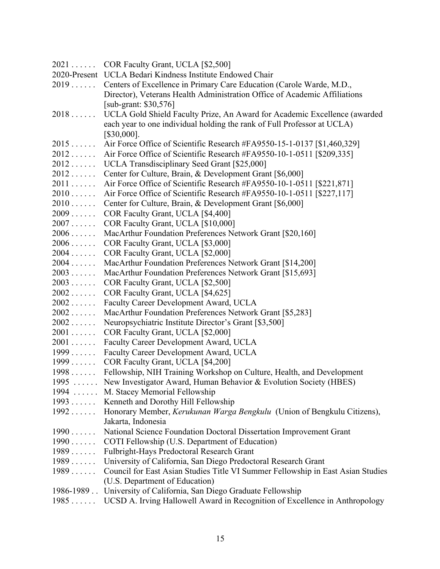|                      | $2021$ COR Faculty Grant, UCLA [\$2,500]                                          |
|----------------------|-----------------------------------------------------------------------------------|
|                      | 2020-Present UCLA Bedari Kindness Institute Endowed Chair                         |
| $2019 \ldots$        | Centers of Excellence in Primary Care Education (Carole Warde, M.D.,              |
|                      | Director), Veterans Health Administration Office of Academic Affiliations         |
|                      | [sub-grant: $$30,576$ ]                                                           |
| $2018\ldots$         | UCLA Gold Shield Faculty Prize, An Award for Academic Excellence (awarded         |
|                      | each year to one individual holding the rank of Full Professor at UCLA)           |
|                      | [\$30,000].                                                                       |
| $2015\ldots$         | Air Force Office of Scientific Research #FA9550-15-1-0137 [\$1,460,329]           |
| $2012\ldots$         | Air Force Office of Scientific Research #FA9550-10-1-0511 [\$209,335]             |
| $2012\ldots$         | UCLA Transdisciplinary Seed Grant [\$25,000]                                      |
| $2012\ldots$         | Center for Culture, Brain, & Development Grant [\$6,000]                          |
| $2011 \ldots$        | Air Force Office of Scientific Research #FA9550-10-1-0511 [\$221,871]             |
| $2010\ldots\ldots$   | Air Force Office of Scientific Research #FA9550-10-1-0511 [\$227,117]             |
| $2010\ldots\ldots$   | Center for Culture, Brain, & Development Grant [\$6,000]                          |
| $2009 \ldots$        | COR Faculty Grant, UCLA [\$4,400]                                                 |
| $2007\ldots$         | COR Faculty Grant, UCLA [\$10,000]                                                |
| $2006\ldots\ldots$   | MacArthur Foundation Preferences Network Grant [\$20,160]                         |
| $2006\ldots\ldots$   | COR Faculty Grant, UCLA [\$3,000]                                                 |
| $2004 \ldots$        | COR Faculty Grant, UCLA [\$2,000]                                                 |
| $2004 \ldots$        | MacArthur Foundation Preferences Network Grant [\$14,200]                         |
| $2003\ldots\ldots$   | MacArthur Foundation Preferences Network Grant [\$15,693]                         |
| $2003\ldots\ldots$   | COR Faculty Grant, UCLA [\$2,500]                                                 |
| $2002\ldots\ldots$   | COR Faculty Grant, UCLA [\$4,625]                                                 |
| $2002\ldots\ldots$   | Faculty Career Development Award, UCLA                                            |
| $2002\ldots\ldots$   | MacArthur Foundation Preferences Network Grant [\$5,283]                          |
| $2002\ldots\ldots$   | Neuropsychiatric Institute Director's Grant [\$3,500]                             |
| $2001 \ldots \ldots$ | COR Faculty Grant, UCLA [\$2,000]                                                 |
| $2001 \ldots$        | Faculty Career Development Award, UCLA                                            |
| $1999 \ldots$        | Faculty Career Development Award, UCLA                                            |
| $1999 \ldots$        | COR Faculty Grant, UCLA [\$4,200]                                                 |
| 1998                 | Fellowship, NIH Training Workshop on Culture, Health, and Development             |
|                      | 1995  New Investigator Award, Human Behavior & Evolution Society (HBES)           |
|                      | 1994  M. Stacey Memorial Fellowship                                               |
| $1993 \ldots$        | Kenneth and Dorothy Hill Fellowship                                               |
| $1992 \ldots$        | Honorary Member, Kerukunan Warga Bengkulu (Union of Bengkulu Citizens),           |
|                      | Jakarta, Indonesia                                                                |
| $1990 \ldots$        | National Science Foundation Doctoral Dissertation Improvement Grant               |
| $1990 \ldots$        | COTI Fellowship (U.S. Department of Education)                                    |
| $1989 \ldots$        | Fulbright-Hays Predoctoral Research Grant                                         |
| $1989 \ldots$        | University of California, San Diego Predoctoral Research Grant                    |
| $1989 \ldots$        | Council for East Asian Studies Title VI Summer Fellowship in East Asian Studies   |
|                      | (U.S. Department of Education)                                                    |
|                      | 1986-1989 University of California, San Diego Graduate Fellowship                 |
|                      | 1985  UCSD A. Irving Hallowell Award in Recognition of Excellence in Anthropology |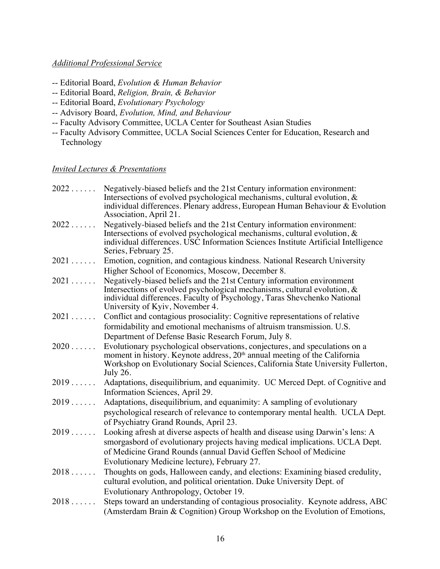### *Additional Professional Service*

- -- Editorial Board, *Evolution & Human Behavior*
- -- Editorial Board, *Religion, Brain, & Behavior*
- -- Editorial Board, *Evolutionary Psychology*
- -- Advisory Board, *Evolution, Mind, and Behaviour*
- -- Faculty Advisory Committee, UCLA Center for Southeast Asian Studies
- -- Faculty Advisory Committee, UCLA Social Sciences Center for Education, Research and Technology

### *Invited Lectures & Presentations*

| 2022          | Negatively-biased beliefs and the 21st Century information environment:<br>Intersections of evolved psychological mechanisms, cultural evolution, &<br>individual differences. Plenary address, European Human Behaviour & Evolution<br>Association, April 21.                     |
|---------------|------------------------------------------------------------------------------------------------------------------------------------------------------------------------------------------------------------------------------------------------------------------------------------|
| 2022          | Negatively-biased beliefs and the 21st Century information environment:<br>Intersections of evolved psychological mechanisms, cultural evolution, $\&$<br>individual differences. USC Information Sciences Institute Artificial Intelligence<br>Series, February 25.               |
| $2021 \ldots$ | Emotion, cognition, and contagious kindness. National Research University<br>Higher School of Economics, Moscow, December 8.                                                                                                                                                       |
| $2021 \ldots$ | Negatively-biased beliefs and the 21st Century information environment<br>Intersections of evolved psychological mechanisms, cultural evolution, $\&$<br>individual differences. Faculty of Psychology, Taras Shevchenko National<br>University of Kyiv, November 4.               |
| $2021 \ldots$ | Conflict and contagious prosociality: Cognitive representations of relative<br>formidability and emotional mechanisms of altruism transmission. U.S.<br>Department of Defense Basic Research Forum, July 8.                                                                        |
| $2020 \ldots$ | Evolutionary psychological observations, conjectures, and speculations on a<br>moment in history. Keynote address, 20 <sup>th</sup> annual meeting of the California<br>Workshop on Evolutionary Social Sciences, California State University Fullerton,<br>July 26.               |
| 2019          | Adaptations, disequilibrium, and equanimity. UC Merced Dept. of Cognitive and<br>Information Sciences, April 29.                                                                                                                                                                   |
| 2019          | Adaptations, disequilibrium, and equanimity: A sampling of evolutionary<br>psychological research of relevance to contemporary mental health. UCLA Dept.<br>of Psychiatry Grand Rounds, April 23.                                                                                  |
| 2019          | Looking afresh at diverse aspects of health and disease using Darwin's lens: A<br>smorgasbord of evolutionary projects having medical implications. UCLA Dept.<br>of Medicine Grand Rounds (annual David Geffen School of Medicine<br>Evolutionary Medicine lecture), February 27. |
| 2018          | Thoughts on gods, Halloween candy, and elections: Examining biased credulity,<br>cultural evolution, and political orientation. Duke University Dept. of<br>Evolutionary Anthropology, October 19.                                                                                 |
| $2018\ldots$  | Steps toward an understanding of contagious prosociality. Keynote address, ABC<br>(Amsterdam Brain & Cognition) Group Workshop on the Evolution of Emotions,                                                                                                                       |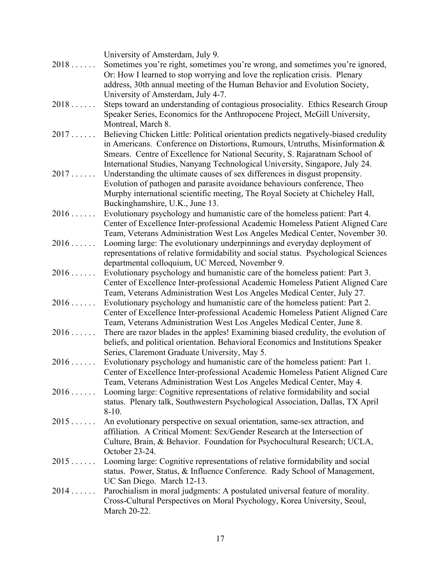|               | University of Amsterdam, July 9.                                                     |
|---------------|--------------------------------------------------------------------------------------|
| 2018          | Sometimes you're right, sometimes you're wrong, and sometimes you're ignored,        |
|               | Or: How I learned to stop worrying and love the replication crisis. Plenary          |
|               | address, 30th annual meeting of the Human Behavior and Evolution Society,            |
|               | University of Amsterdam, July 4-7.                                                   |
| 2018          | Steps toward an understanding of contagious prosociality. Ethics Research Group      |
|               | Speaker Series, Economics for the Anthropocene Project, McGill University,           |
|               | Montreal, March 8.                                                                   |
| $2017\ldots$  | Believing Chicken Little: Political orientation predicts negatively-biased credulity |
|               | in Americans. Conference on Distortions, Rumours, Untruths, Misinformation &         |
|               | Smears. Centre of Excellence for National Security, S. Rajaratnam School of          |
|               | International Studies, Nanyang Technological University, Singapore, July 24.         |
| $2017\ldots$  | Understanding the ultimate causes of sex differences in disgust propensity.          |
|               |                                                                                      |
|               | Evolution of pathogen and parasite avoidance behaviours conference, Theo             |
|               | Murphy international scientific meeting, The Royal Society at Chicheley Hall,        |
|               | Buckinghamshire, U.K., June 13.                                                      |
| $2016\ldots$  | Evolutionary psychology and humanistic care of the homeless patient: Part 4.         |
|               | Center of Excellence Inter-professional Academic Homeless Patient Aligned Care       |
|               | Team, Veterans Administration West Los Angeles Medical Center, November 30.          |
| $2016\ldots$  | Looming large: The evolutionary underpinnings and everyday deployment of             |
|               | representations of relative formidability and social status. Psychological Sciences  |
|               | departmental colloquium, UC Merced, November 9.                                      |
| $2016\ldots$  | Evolutionary psychology and humanistic care of the homeless patient: Part 3.         |
|               | Center of Excellence Inter-professional Academic Homeless Patient Aligned Care       |
|               | Team, Veterans Administration West Los Angeles Medical Center, July 27.              |
| 2016          | Evolutionary psychology and humanistic care of the homeless patient: Part 2.         |
|               | Center of Excellence Inter-professional Academic Homeless Patient Aligned Care       |
|               | Team, Veterans Administration West Los Angeles Medical Center, June 8.               |
| $2016\ldots$  | There are razor blades in the apples! Examining biased credulity, the evolution of   |
|               | beliefs, and political orientation. Behavioral Economics and Institutions Speaker    |
|               | Series, Claremont Graduate University, May 5.                                        |
| $2016\ldots$  | Evolutionary psychology and humanistic care of the homeless patient: Part 1.         |
|               | Center of Excellence Inter-professional Academic Homeless Patient Aligned Care       |
|               | Team, Veterans Administration West Los Angeles Medical Center, May 4.                |
| $2016 \ldots$ | Looming large: Cognitive representations of relative formidability and social        |
|               | status. Plenary talk, Southwestern Psychological Association, Dallas, TX April       |
|               | $8-10.$                                                                              |
| 2015          | An evolutionary perspective on sexual orientation, same-sex attraction, and          |
|               | affiliation. A Critical Moment: Sex/Gender Research at the Intersection of           |
|               | Culture, Brain, & Behavior. Foundation for Psychocultural Research; UCLA,            |
|               | October 23-24.                                                                       |
| $2015\ldots$  | Looming large: Cognitive representations of relative formidability and social        |
|               | status. Power, Status, & Influence Conference. Rady School of Management,            |
|               | UC San Diego. March 12-13.                                                           |
| 2014          | Parochialism in moral judgments: A postulated universal feature of morality.         |
|               | Cross-Cultural Perspectives on Moral Psychology, Korea University, Seoul,            |
|               | March 20-22.                                                                         |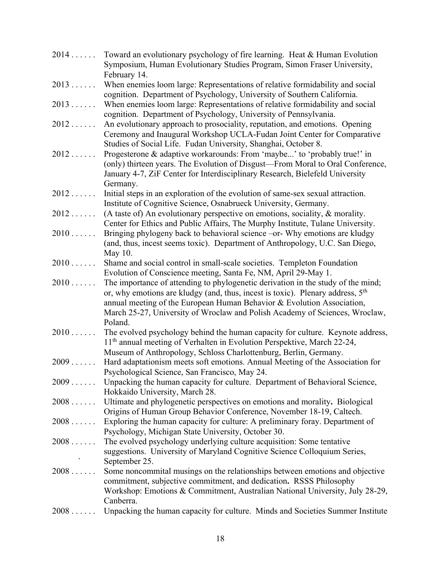| 2014                                          | Toward an evolutionary psychology of fire learning. Heat & Human Evolution<br>Symposium, Human Evolutionary Studies Program, Simon Fraser University,                                                                                                                                                                                    |
|-----------------------------------------------|------------------------------------------------------------------------------------------------------------------------------------------------------------------------------------------------------------------------------------------------------------------------------------------------------------------------------------------|
|                                               | February 14.                                                                                                                                                                                                                                                                                                                             |
| $2013 \ldots$                                 | When enemies loom large: Representations of relative formidability and social<br>cognition. Department of Psychology, University of Southern California.                                                                                                                                                                                 |
| $2013 \ldots$                                 | When enemies loom large: Representations of relative formidability and social<br>cognition. Department of Psychology, University of Pennsylvania.                                                                                                                                                                                        |
| 2012                                          | An evolutionary approach to prosociality, reputation, and emotions. Opening<br>Ceremony and Inaugural Workshop UCLA-Fudan Joint Center for Comparative<br>Studies of Social Life. Fudan University, Shanghai, October 8.                                                                                                                 |
| $2012 \ldots$                                 | Progesterone & adaptive workarounds: From 'maybe' to 'probably true!' in<br>(only) thirteen years. The Evolution of Disgust-From Moral to Oral Conference,<br>January 4-7, ZiF Center for Interdisciplinary Research, Bielefeld University<br>Germany.                                                                                   |
| 2012                                          | Initial steps in an exploration of the evolution of same-sex sexual attraction.<br>Institute of Cognitive Science, Osnabrueck University, Germany.                                                                                                                                                                                       |
| 2012                                          | (A taste of) An evolutionary perspective on emotions, sociality, & morality.<br>Center for Ethics and Public Affairs, The Murphy Institute, Tulane University.                                                                                                                                                                           |
| $2010 \ldots$                                 | Bringing phylogeny back to behavioral science –or- Why emotions are kludgy<br>(and, thus, incest seems toxic). Department of Anthropology, U.C. San Diego,<br>May 10.                                                                                                                                                                    |
| $2010 \ldots$                                 | Shame and social control in small-scale societies. Templeton Foundation<br>Evolution of Conscience meeting, Santa Fe, NM, April 29-May 1.                                                                                                                                                                                                |
| $2010 \ldots$                                 | The importance of attending to phylogenetic derivation in the study of the mind;<br>or, why emotions are kludgy (and, thus, incest is toxic). Plenary address, $5th$<br>annual meeting of the European Human Behavior & Evolution Association,<br>March 25-27, University of Wroclaw and Polish Academy of Sciences, Wroclaw,<br>Poland. |
| $2010 \ldots$                                 | The evolved psychology behind the human capacity for culture. Keynote address,<br>11 <sup>th</sup> annual meeting of Verhalten in Evolution Perspektive, March 22-24,<br>Museum of Anthropology, Schloss Charlottenburg, Berlin, Germany.                                                                                                |
| $2009 \ldots$                                 | Hard adaptationism meets soft emotions. Annual Meeting of the Association for<br>Psychological Science, San Francisco, May 24.                                                                                                                                                                                                           |
|                                               | 2009  Unpacking the human capacity for culture. Department of Behavioral Science,<br>Hokkaido University, March 28.                                                                                                                                                                                                                      |
|                                               | 2008 Ultimate and phylogenetic perspectives on emotions and morality. Biological<br>Origins of Human Group Behavior Conference, November 18-19, Caltech.                                                                                                                                                                                 |
| $2008\ldots\ldots$                            | Exploring the human capacity for culture: A preliminary foray. Department of<br>Psychology, Michigan State University, October 30.                                                                                                                                                                                                       |
| $2008\ldots\ldots$<br>$\sum_{i=1}^n \alpha_i$ | The evolved psychology underlying culture acquisition: Some tentative<br>suggestions. University of Maryland Cognitive Science Colloquium Series,<br>September 25.                                                                                                                                                                       |
| $2008\ldots\ldots$                            | Some noncommital musings on the relationships between emotions and objective<br>commitment, subjective commitment, and dedication. RSSS Philosophy<br>Workshop: Emotions & Commitment, Australian National University, July 28-29,<br>Canberra.                                                                                          |
| $2008\ldots\ldots$                            | Unpacking the human capacity for culture. Minds and Societies Summer Institute                                                                                                                                                                                                                                                           |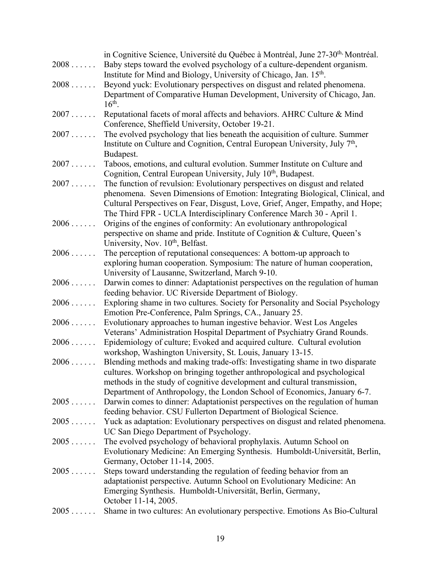|                    | in Cognitive Science, Université du Québec à Montréal, June 27-30 <sup>th,</sup> Montréal. |
|--------------------|--------------------------------------------------------------------------------------------|
| $2008\ldots\ldots$ | Baby steps toward the evolved psychology of a culture-dependent organism.                  |
|                    | Institute for Mind and Biology, University of Chicago, Jan. 15th.                          |
| 2008               | Beyond yuck: Evolutionary perspectives on disgust and related phenomena.                   |
|                    | Department of Comparative Human Development, University of Chicago, Jan.                   |
|                    | $16th$ .                                                                                   |
| 2007               | Reputational facets of moral affects and behaviors. AHRC Culture & Mind                    |
|                    | Conference, Sheffield University, October 19-21.                                           |
| $2007\ldots$       | The evolved psychology that lies beneath the acquisition of culture. Summer                |
|                    | Institute on Culture and Cognition, Central European University, July 7 <sup>th</sup> ,    |
|                    | Budapest.                                                                                  |
| $2007\ldots$       | Taboos, emotions, and cultural evolution. Summer Institute on Culture and                  |
|                    | Cognition, Central European University, July 10 <sup>th</sup> , Budapest.                  |
| $2007\ldots$       | The function of revulsion: Evolutionary perspectives on disgust and related                |
|                    | phenomena. Seven Dimensions of Emotion: Integrating Biological, Clinical, and              |
|                    | Cultural Perspectives on Fear, Disgust, Love, Grief, Anger, Empathy, and Hope;             |
|                    | The Third FPR - UCLA Interdisciplinary Conference March 30 - April 1.                      |
| $2006\ldots\ldots$ | Origins of the engines of conformity: An evolutionary anthropological                      |
|                    | perspective on shame and pride. Institute of Cognition & Culture, Queen's                  |
|                    | University, Nov. 10 <sup>th</sup> , Belfast.                                               |
| $2006\ldots\ldots$ | The perception of reputational consequences: A bottom-up approach to                       |
|                    | exploring human cooperation. Symposium: The nature of human cooperation,                   |
|                    | University of Lausanne, Switzerland, March 9-10.                                           |
| $2006\ldots\ldots$ | Darwin comes to dinner: Adaptationist perspectives on the regulation of human              |
|                    | feeding behavior. UC Riverside Department of Biology.                                      |
| $2006\ldots\ldots$ | Exploring shame in two cultures. Society for Personality and Social Psychology             |
|                    | Emotion Pre-Conference, Palm Springs, CA., January 25.                                     |
| $2006\ldots\ldots$ | Evolutionary approaches to human ingestive behavior. West Los Angeles                      |
|                    | Veterans' Administration Hospital Department of Psychiatry Grand Rounds.                   |
| $2006\ldots\ldots$ | Epidemiology of culture; Evoked and acquired culture. Cultural evolution                   |
|                    | workshop, Washington University, St. Louis, January 13-15.                                 |
| $2006\ldots\ldots$ | Blending methods and making trade-offs: Investigating shame in two disparate               |
|                    | cultures. Workshop on bringing together anthropological and psychological                  |
|                    | methods in the study of cognitive development and cultural transmission,                   |
|                    | Department of Anthropology, the London School of Economics, January 6-7.                   |
| $2005\ldots\ldots$ | Darwin comes to dinner: Adaptationist perspectives on the regulation of human              |
|                    | feeding behavior. CSU Fullerton Department of Biological Science.                          |
| $2005\ldots\ldots$ | Yuck as adaptation: Evolutionary perspectives on disgust and related phenomena.            |
|                    | UC San Diego Department of Psychology.                                                     |
| $2005\ldots\ldots$ | The evolved psychology of behavioral prophylaxis. Autumn School on                         |
|                    | Evolutionary Medicine: An Emerging Synthesis. Humboldt-Universität, Berlin,                |
|                    | Germany, October 11-14, 2005.                                                              |
| $2005 \ldots$      | Steps toward understanding the regulation of feeding behavior from an                      |
|                    | adaptationist perspective. Autumn School on Evolutionary Medicine: An                      |
|                    | Emerging Synthesis. Humboldt-Universität, Berlin, Germany,                                 |
|                    | October 11-14, 2005.                                                                       |
| $2005\ldots\ldots$ | Shame in two cultures: An evolutionary perspective. Emotions As Bio-Cultural               |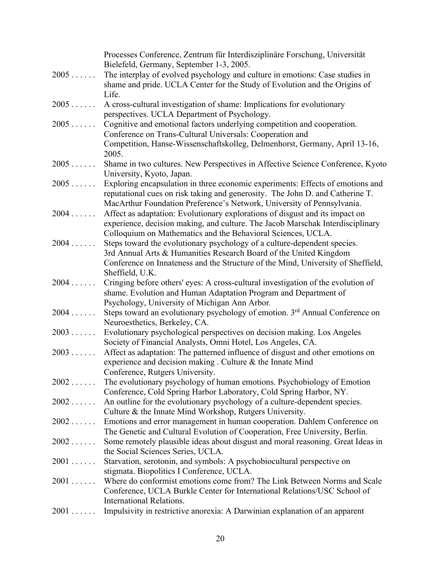|                      | Processes Conference, Zentrum für Interdisziplinäre Forschung, Universität                                                                    |
|----------------------|-----------------------------------------------------------------------------------------------------------------------------------------------|
|                      | Bielefeld, Germany, September 1-3, 2005.                                                                                                      |
| $2005\ldots\ldots$   | The interplay of evolved psychology and culture in emotions: Case studies in                                                                  |
|                      | shame and pride. UCLA Center for the Study of Evolution and the Origins of                                                                    |
|                      | Life.                                                                                                                                         |
| 2005                 | A cross-cultural investigation of shame: Implications for evolutionary                                                                        |
|                      | perspectives. UCLA Department of Psychology.                                                                                                  |
| $2005 \ldots$        | Cognitive and emotional factors underlying competition and cooperation.                                                                       |
|                      | Conference on Trans-Cultural Universals: Cooperation and                                                                                      |
|                      | Competition, Hanse-Wissenschaftskolleg, Delmenhorst, Germany, April 13-16,                                                                    |
|                      | 2005.                                                                                                                                         |
| $2005\ldots\ldots$   | Shame in two cultures. New Perspectives in Affective Science Conference, Kyoto                                                                |
|                      | University, Kyoto, Japan.                                                                                                                     |
| $2005 \ldots$        | Exploring encapsulation in three economic experiments: Effects of emotions and                                                                |
|                      | reputational cues on risk taking and generosity. The John D. and Catherine T.                                                                 |
|                      | MacArthur Foundation Preference's Network, University of Pennsylvania.                                                                        |
| $2004$               | Affect as adaptation: Evolutionary explorations of disgust and its impact on                                                                  |
|                      | experience, decision making, and culture. The Jacob Marschak Interdisciplinary                                                                |
|                      | Colloquium on Mathematics and the Behavioral Sciences, UCLA.                                                                                  |
| $2004$               | Steps toward the evolutionary psychology of a culture-dependent species.                                                                      |
|                      | 3rd Annual Arts & Humanities Research Board of the United Kingdom                                                                             |
|                      | Conference on Innateness and the Structure of the Mind, University of Sheffield,                                                              |
|                      | Sheffield, U.K.                                                                                                                               |
| $2004$               | Cringing before others' eyes: A cross-cultural investigation of the evolution of                                                              |
|                      | shame. Evolution and Human Adaptation Program and Department of                                                                               |
|                      | Psychology, University of Michigan Ann Arbor.                                                                                                 |
| $2004\ldots$         | Steps toward an evolutionary psychology of emotion. 3rd Annual Conference on                                                                  |
|                      | Neuroesthetics, Berkeley, CA.                                                                                                                 |
| $2003\ldots\ldots$   | Evolutionary psychological perspectives on decision making. Los Angeles                                                                       |
|                      | Society of Financial Analysts, Omni Hotel, Los Angeles, CA.                                                                                   |
| $2003\ldots\ldots$   | Affect as adaptation: The patterned influence of disgust and other emotions on                                                                |
|                      | experience and decision making . Culture & the Innate Mind                                                                                    |
|                      | Conference, Rutgers University.                                                                                                               |
| $2002\ldots\ldots$   |                                                                                                                                               |
|                      | The evolutionary psychology of human emotions. Psychobiology of Emotion<br>Conference, Cold Spring Harbor Laboratory, Cold Spring Harbor, NY. |
| $2002\ldots\ldots$   |                                                                                                                                               |
|                      | An outline for the evolutionary psychology of a culture-dependent species.                                                                    |
| $2002\ldots\ldots$   | Culture & the Innate Mind Workshop, Rutgers University.                                                                                       |
|                      | Emotions and error management in human cooperation. Dahlem Conference on                                                                      |
|                      | The Genetic and Cultural Evolution of Cooperation, Free University, Berlin.                                                                   |
| 2002                 | Some remotely plausible ideas about disgust and moral reasoning. Great Ideas in                                                               |
|                      | the Social Sciences Series, UCLA.                                                                                                             |
| $2001 \ldots$        | Starvation, serotonin, and symbols: A psychobiocultural perspective on                                                                        |
|                      | stigmata. Biopolitics I Conference, UCLA.                                                                                                     |
| $2001 \ldots$        | Where do conformist emotions come from? The Link Between Norms and Scale                                                                      |
|                      | Conference, UCLA Burkle Center for International Relations/USC School of                                                                      |
|                      | <b>International Relations.</b>                                                                                                               |
| $2001 \ldots \ldots$ | Impulsivity in restrictive anorexia: A Darwinian explanation of an apparent                                                                   |